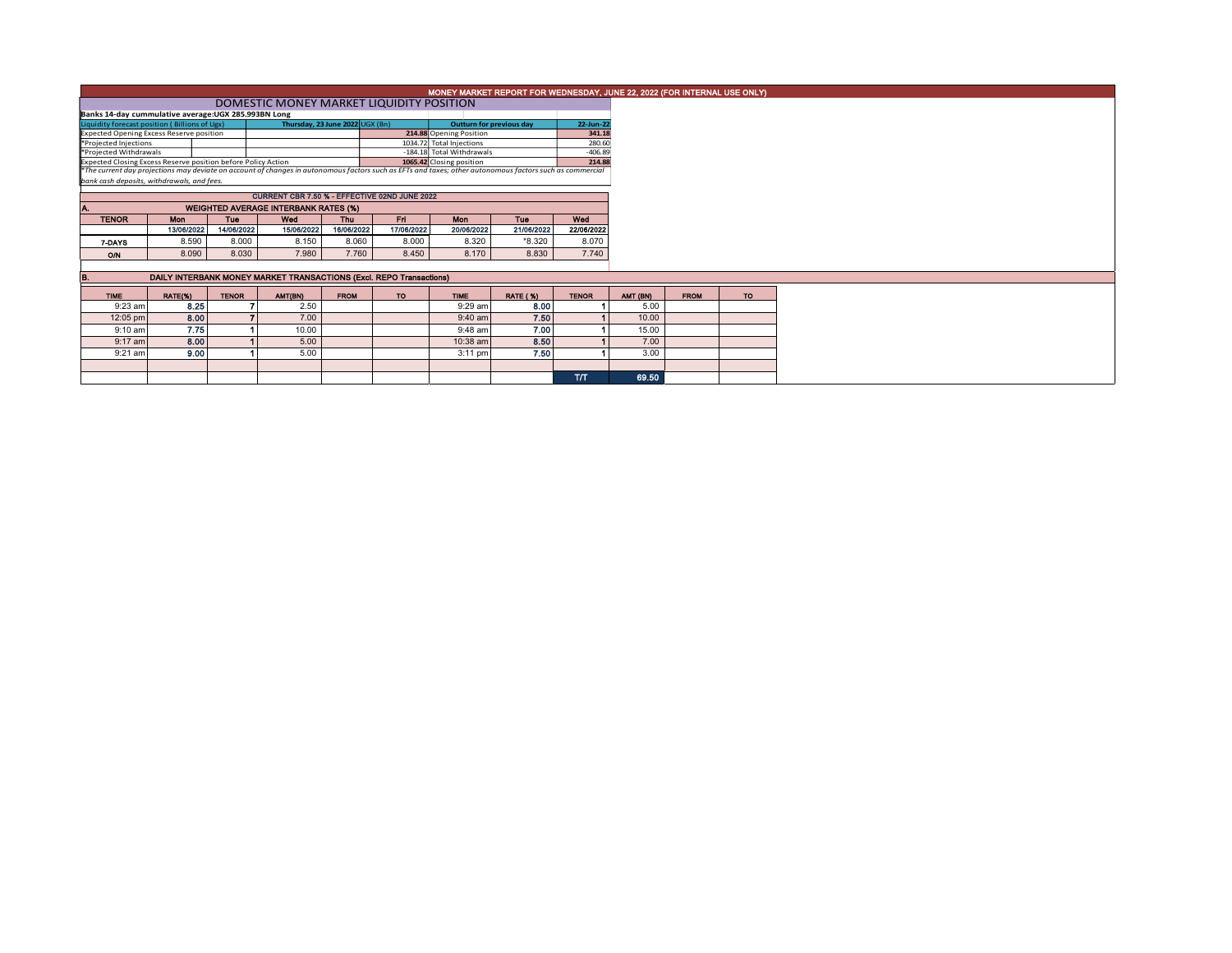|                                                                                                                                                                                                                           |                                               |              |                                                                     |             |            |                                 |            |              |  |          | MONEY MARKET REPORT FOR WEDNESDAY, JUNE 22, 2022 (FOR INTERNAL USE ONLY) |
|---------------------------------------------------------------------------------------------------------------------------------------------------------------------------------------------------------------------------|-----------------------------------------------|--------------|---------------------------------------------------------------------|-------------|------------|---------------------------------|------------|--------------|--|----------|--------------------------------------------------------------------------|
|                                                                                                                                                                                                                           |                                               |              |                                                                     |             |            |                                 |            |              |  |          |                                                                          |
| Banks 14-day cummulative average:UGX 285.993BN Long                                                                                                                                                                       |                                               |              |                                                                     |             |            |                                 |            |              |  |          |                                                                          |
| Liquidity forecast position (Billions of Ugx)                                                                                                                                                                             |                                               |              | Thursday, 23 June 2022 UGX (Bn)                                     |             |            | <b>Outturn for previous day</b> |            | 22-Jun-22    |  |          |                                                                          |
| <b>Expected Opening Excess Reserve position</b>                                                                                                                                                                           |                                               |              |                                                                     |             |            | 214.88 Opening Position         |            | 341.18       |  |          |                                                                          |
| *Projected Injections                                                                                                                                                                                                     |                                               |              |                                                                     |             |            | 1034.72 Total Injections        |            | 280.60       |  |          |                                                                          |
| *Projected Withdrawals                                                                                                                                                                                                    |                                               |              |                                                                     |             |            | -184.18 Total Withdrawals       |            | $-406.89$    |  |          |                                                                          |
| Expected Closing Excess Reserve position before Policy Action<br>*The current day projections may deviate on account of changes in autonomous factors such as EFTs and taxes; other autonomous factors such as commercial |                                               |              |                                                                     |             |            | 1065.42 Closing position        |            | 214.88       |  |          |                                                                          |
|                                                                                                                                                                                                                           |                                               |              |                                                                     |             |            |                                 |            |              |  |          |                                                                          |
|                                                                                                                                                                                                                           | bank cash deposits, withdrawals, and fees.    |              |                                                                     |             |            |                                 |            |              |  |          |                                                                          |
|                                                                                                                                                                                                                           | CURRENT CBR 7.50 % - EFFECTIVE 02ND JUNE 2022 |              |                                                                     |             |            |                                 |            |              |  |          |                                                                          |
| <b>WEIGHTED AVERAGE INTERBANK RATES (%)</b><br>А.                                                                                                                                                                         |                                               |              |                                                                     |             |            |                                 |            |              |  |          |                                                                          |
| <b>TENOR</b>                                                                                                                                                                                                              | <b>Mon</b>                                    | <b>Tue</b>   | Wed                                                                 | <b>Thu</b>  | Fri        | Mon                             | Tuo        | Wed          |  |          |                                                                          |
|                                                                                                                                                                                                                           | 13/06/2022                                    | 14/06/2022   | 15/06/2022                                                          | 16/06/2022  | 17/06/2022 | 20/06/2022                      | 21/06/2022 | 22/06/2022   |  |          |                                                                          |
| 7-DAYS                                                                                                                                                                                                                    | 8.590                                         | 8.000        | 8.150                                                               | 8.060       | 8.000      | 8.320                           | *8.320     | 8.070        |  |          |                                                                          |
| O/N                                                                                                                                                                                                                       | 8.090                                         | 8.030        | 7.980                                                               | 7.760       | 8.450      | 8.170                           | 8.830      | 7.740        |  |          |                                                                          |
|                                                                                                                                                                                                                           |                                               |              |                                                                     |             |            |                                 |            |              |  |          |                                                                          |
| B.                                                                                                                                                                                                                        |                                               |              | DAILY INTERBANK MONEY MARKET TRANSACTIONS (Excl. REPO Transactions) |             |            |                                 |            |              |  |          |                                                                          |
|                                                                                                                                                                                                                           |                                               |              |                                                                     |             |            |                                 |            |              |  |          |                                                                          |
| <b>TIME</b>                                                                                                                                                                                                               | RATE(%)                                       | <b>TENOR</b> | AMT(BN)                                                             | <b>FROM</b> | TO:        | <b>TIME</b>                     | RATE (%)   | <b>TENOR</b> |  | AMT (BN) | <b>FROM</b>                                                              |
| $9:23$ am                                                                                                                                                                                                                 | 8.25                                          |              | 2.50                                                                |             |            | 9:29 am                         | 8.00       |              |  | 5.00     |                                                                          |
| 12:05 pm                                                                                                                                                                                                                  | 8.00                                          |              | 7.00                                                                |             |            | $9:40$ am                       | 7.50       |              |  | 10.00    |                                                                          |
| $9:10$ am                                                                                                                                                                                                                 | 7.75                                          |              | 10.00                                                               |             |            | $9:48$ am                       | 7.00       |              |  | 15.00    |                                                                          |
| $9:17$ am                                                                                                                                                                                                                 | 8.00                                          |              | 5.00                                                                |             |            | 10:38 am                        | 8.50       |              |  | 7.00     |                                                                          |
| $9:21$ am                                                                                                                                                                                                                 | 9.00                                          |              | 5.00                                                                |             |            | $3:11$ pm                       | 7.50       |              |  | 3.00     |                                                                          |
|                                                                                                                                                                                                                           |                                               |              |                                                                     |             |            |                                 |            |              |  |          |                                                                          |
|                                                                                                                                                                                                                           |                                               |              |                                                                     |             |            |                                 |            | <b>T/T</b>   |  | 69.50    |                                                                          |
|                                                                                                                                                                                                                           |                                               |              |                                                                     |             |            |                                 |            |              |  |          |                                                                          |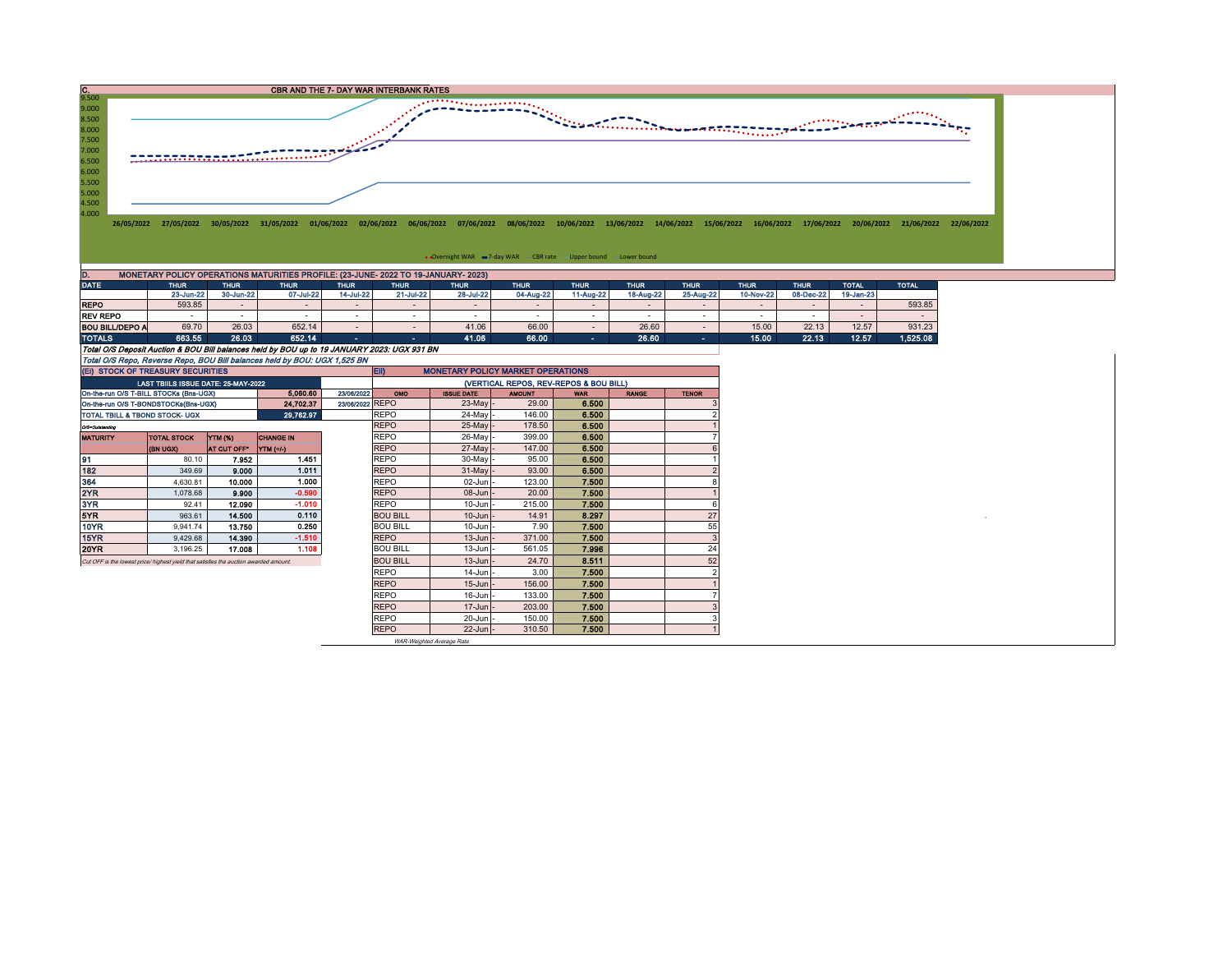

| ----                                                                      | $\cdots$                                                                                    |           |           | $\cdots$  |           |           |           | $\cdots$  |           | .         | .         | .         | $\sim$    | .        |
|---------------------------------------------------------------------------|---------------------------------------------------------------------------------------------|-----------|-----------|-----------|-----------|-----------|-----------|-----------|-----------|-----------|-----------|-----------|-----------|----------|
|                                                                           | 23-Jun-22                                                                                   | 30-Jun-22 | 07-Jul-22 | 14-Jul-22 | 21-Jul-22 | 28-Jul-22 | 04-Aug-22 | 11-Aug-22 | 18-Aug-22 | 25-Aug-22 | 10-Nov-22 | 08-Dec-22 | 19-Jan-23 |          |
| <b>REPO</b>                                                               | 593.85                                                                                      |           |           |           |           |           |           |           |           |           |           |           |           | 593.85   |
| <b>REV REPO</b>                                                           |                                                                                             |           |           |           |           |           |           |           |           |           |           |           |           |          |
| <b>BOU BILL/DEPO A</b>                                                    | 69.70                                                                                       | 26.03     | 652.14    |           |           | 41.06     | 66.00     |           | 26.60     |           | 15.00     | 22.13     | 12.57     | 931.23   |
| <b>TOTALS</b>                                                             | 663.55                                                                                      | 26.03     | 652.14    |           |           | 41.06     | 66.00     | $\sim$    | 26.60     | $\sim$    | 15.00     | 22.13     | 12.57     | 1,525.08 |
|                                                                           | Total O/S Deposit Auction & BOU Bill balances held by BOU up to 19 JANUARY 2023: UGX 931 BN |           |           |           |           |           |           |           |           |           |           |           |           |          |
| Total O/S Repo, Reverse Repo, BOU Bill balances held by BOU: UGX 1,525 BN |                                                                                             |           |           |           |           |           |           |           |           |           |           |           |           |          |

| (EI) STOCK OF TREASURY SECURITIES                                                    |                                     |             |                  |                 | <b>MONETARY POLICY MARKET OPERATIONS</b><br>EII) |                   |               |            |              |              |  |  |  |
|--------------------------------------------------------------------------------------|-------------------------------------|-------------|------------------|-----------------|--------------------------------------------------|-------------------|---------------|------------|--------------|--------------|--|--|--|
|                                                                                      | LAST TBIILS ISSUE DATE: 25-MAY-2022 |             |                  |                 | (VERTICAL REPOS, REV-REPOS & BOU BILL)           |                   |               |            |              |              |  |  |  |
| On-the-run O/S T-BILL STOCKs (Bns-UGX)                                               |                                     |             | 5.060.60         | 23/06/2022      | OMO                                              | <b>ISSUE DATE</b> | <b>AMOUNT</b> | <b>WAR</b> | <b>RANGE</b> | <b>TENOR</b> |  |  |  |
| On-the-run O/S T-BONDSTOCKs(Bns-UGX)                                                 |                                     |             | 24,702.37        | 23/06/2022 REPO |                                                  | $23$ -May -       | 29.00         | 6.500      |              |              |  |  |  |
| TOTAL TBILL & TBOND STOCK- UGX                                                       |                                     |             | 29,762.97        |                 | <b>REPO</b>                                      | 24-May -          | 146.00        | 6.500      |              |              |  |  |  |
| Q/3-Outstanding                                                                      |                                     |             |                  |                 | <b>REPO</b>                                      | $25$ -May -       | 178.50        | 6.500      |              |              |  |  |  |
| <b>MATURITY</b>                                                                      | <b>TOTAL STOCK</b>                  | YTM (%)     | <b>CHANGE IN</b> |                 | <b>REPO</b>                                      | 26-May -          | 399.00        | 6.500      |              |              |  |  |  |
|                                                                                      | <b>CKDU HB)</b>                     | AT CUT OFF* | YTM (+/-)        |                 | <b>REPO</b>                                      | $27$ -May -       | 147.00        | 6,500      |              |              |  |  |  |
| 91                                                                                   | 80.10                               | 7.952       | 1.451            |                 | <b>REPO</b>                                      | $30$ -May -       | 95.00         | 6.500      |              |              |  |  |  |
| 182                                                                                  | 349.69                              | 9.000       | 1.011            |                 | <b>REPO</b>                                      | $31$ -May -       | 93.00         | 6.500      |              |              |  |  |  |
| 364                                                                                  | 4,630.81                            | 10.000      | 1.000            |                 | <b>REPO</b>                                      | $02$ -Jun $-$     | 123.00        | 7.500      |              |              |  |  |  |
| 2YR                                                                                  | 1.078.68                            | 9,900       | $-0.590$         |                 | <b>REPO</b>                                      | $08 - Jun$ -      | 20.00         | 7.500      |              |              |  |  |  |
| 3YR.                                                                                 | 92.41                               | 12.090      | $-1.010$         |                 | REPO                                             | $10$ -Jun $-$     | 215.00        | 7.500      |              |              |  |  |  |
| 5YR.                                                                                 | 963.61                              | 14,500      | 0.110            |                 | <b>BOU BILL</b>                                  | $10$ -Jun $\vert$ | 14.91         | 8.297      |              | 27           |  |  |  |
| 10YR                                                                                 | 9.941.74                            | 13.750      | 0.250            |                 | <b>BOU BILL</b>                                  | $10$ -Jun $-$     | 7.90          | 7.500      |              | 55           |  |  |  |
| 15YR                                                                                 | 9,429.68                            | 14.390      | $-1.510$         |                 | <b>REPO</b>                                      | $13$ -Jun $-$     | 371.00        | 7.500      |              | 3            |  |  |  |
| 20YR                                                                                 | 3,196.25                            | 17.008      | 1.108            |                 | <b>BOU BILL</b>                                  | $13$ -Jun $-$     | 561.05        | 7.996      |              | 24           |  |  |  |
| Cut OFF is the lowest price/highest vield that satisfies the auction awarded amount. |                                     |             |                  |                 | <b>BOU BILL</b>                                  | $13$ -Jun $-$     | 24.70         | 8.511      |              | 52           |  |  |  |
|                                                                                      |                                     |             |                  |                 | <b>REPO</b>                                      | $14$ -Jun $-$     | 3.00          | 7.500      |              |              |  |  |  |
|                                                                                      |                                     |             |                  |                 | <b>REPO</b>                                      | $15$ -Jun $-$     | 156.00        | 7.500      |              |              |  |  |  |
|                                                                                      |                                     |             |                  |                 | <b>REPO</b>                                      | $16$ -Jun $-$     | 133.00        | 7.500      |              |              |  |  |  |
|                                                                                      |                                     |             |                  |                 | <b>REPO</b>                                      | $17 - Jun$ -      | 203.00        | 7.500      |              |              |  |  |  |
|                                                                                      |                                     |             |                  |                 | <b>REPO</b>                                      | $20$ -Jun $-$     | 150.00        | 7.500      |              |              |  |  |  |
|                                                                                      |                                     |             |                  |                 | <b>REPO</b>                                      | $22$ -Jun $-$     | 310.50        | 7.500      |              |              |  |  |  |

WAR-Weighted Average Rate